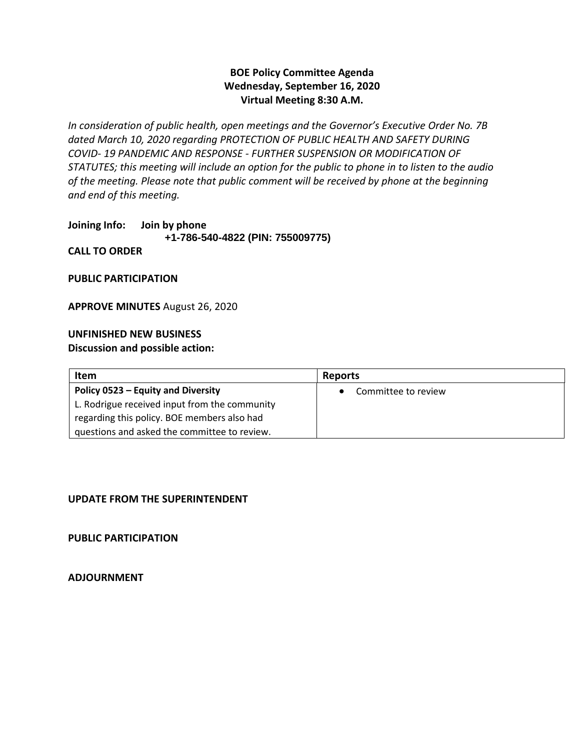### **BOE Policy Committee Agenda Wednesday, September 16, 2020 Virtual Meeting 8:30 A.M.**

*In consideration of public health, open meetings and the Governor's Executive Order No. 7B dated March 10, 2020 regarding PROTECTION OF PUBLIC HEALTH AND SAFETY DURING COVID- 19 PANDEMIC AND RESPONSE - FURTHER SUSPENSION OR MODIFICATION OF STATUTES; this meeting will include an option for the public to phone in to listen to the audio of the meeting. Please note that public comment will be received by phone at the beginning and end of this meeting.*

**Joining Info: Join by phone +1-786-540-4822 (PIN: 755009775) CALL TO ORDER**

**PUBLIC PARTICIPATION**

**APPROVE MINUTES** August 26, 2020

#### **UNFINISHED NEW BUSINESS Discussion and possible action:**

| Item                                          | <b>Reports</b>      |
|-----------------------------------------------|---------------------|
| Policy 0523 – Equity and Diversity            | Committee to review |
| L. Rodrigue received input from the community |                     |
| regarding this policy. BOE members also had   |                     |
| questions and asked the committee to review.  |                     |

#### **UPDATE FROM THE SUPERINTENDENT**

**PUBLIC PARTICIPATION** 

**ADJOURNMENT**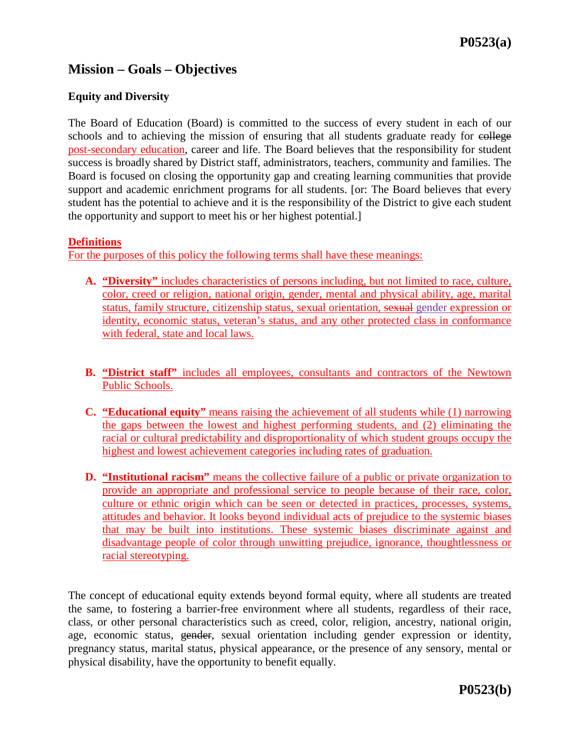# **Mission – Goals – Objectives**

#### **Equity and Diversity**

The Board of Education (Board) is committed to the success of every student in each of our schools and to achieving the mission of ensuring that all students graduate ready for college post-secondary education, career and life. The Board believes that the responsibility for student success is broadly shared by District staff, administrators, teachers, community and families. The Board is focused on closing the opportunity gap and creating learning communities that provide support and academic enrichment programs for all students. [or: The Board believes that every student has the potential to achieve and it is the responsibility of the District to give each student the opportunity and support to meet his or her highest potential.]

#### **Definitions**

For the purposes of this policy the following terms shall have these meanings:

- **A. "Diversity"** includes characteristics of persons including, but not limited to race, culture, color, creed or religion, national origin, gender, mental and physical ability, age, marital status, family structure, citizenship status, sexual orientation, sexual gender expression or identity, economic status, veteran's status, and any other protected class in conformance with federal, state and local laws.
- **B. "District staff"** includes all employees, consultants and contractors of the Newtown Public Schools.
- **C. "Educational equity"** means raising the achievement of all students while (1) narrowing the gaps between the lowest and highest performing students, and (2) eliminating the racial or cultural predictability and disproportionality of which student groups occupy the highest and lowest achievement categories including rates of graduation.
- **D. "Institutional racism"** means the collective failure of a public or private organization to provide an appropriate and professional service to people because of their race, color, culture or ethnic origin which can be seen or detected in practices, processes, systems, attitudes and behavior. It looks beyond individual acts of prejudice to the systemic biases that may be built into institutions. These systemic biases discriminate against and disadvantage people of color through unwitting prejudice, ignorance, thoughtlessness or racial stereotyping.

The concept of educational equity extends beyond formal equity, where all students are treated the same, to fostering a barrier-free environment where all students, regardless of their race, class, or other personal characteristics such as creed, color, religion, ancestry, national origin, age, economic status, gender, sexual orientation including gender expression or identity, pregnancy status, marital status, physical appearance, or the presence of any sensory, mental or physical disability, have the opportunity to benefit equally.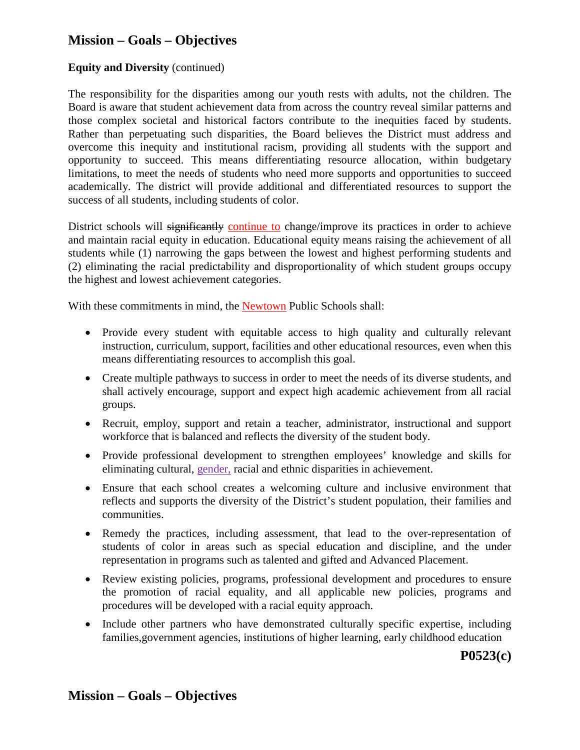# **Mission – Goals – Objectives**

#### **Equity and Diversity** (continued)

The responsibility for the disparities among our youth rests with adults, not the children. The Board is aware that student achievement data from across the country reveal similar patterns and those complex societal and historical factors contribute to the inequities faced by students. Rather than perpetuating such disparities, the Board believes the District must address and overcome this inequity and institutional racism, providing all students with the support and opportunity to succeed. This means differentiating resource allocation, within budgetary limitations, to meet the needs of students who need more supports and opportunities to succeed academically. The district will provide additional and differentiated resources to support the success of all students, including students of color.

District schools will significantly continue to change/improve its practices in order to achieve and maintain racial equity in education. Educational equity means raising the achievement of all students while (1) narrowing the gaps between the lowest and highest performing students and (2) eliminating the racial predictability and disproportionality of which student groups occupy the highest and lowest achievement categories.

With these commitments in mind, the Newtown Public Schools shall:

- Provide every student with equitable access to high quality and culturally relevant instruction, curriculum, support, facilities and other educational resources, even when this means differentiating resources to accomplish this goal.
- Create multiple pathways to success in order to meet the needs of its diverse students, and shall actively encourage, support and expect high academic achievement from all racial groups.
- Recruit, employ, support and retain a teacher, administrator, instructional and support workforce that is balanced and reflects the diversity of the student body.
- Provide professional development to strengthen employees' knowledge and skills for eliminating cultural, gender, racial and ethnic disparities in achievement.
- Ensure that each school creates a welcoming culture and inclusive environment that reflects and supports the diversity of the District's student population, their families and communities.
- Remedy the practices, including assessment, that lead to the over-representation of students of color in areas such as special education and discipline, and the under representation in programs such as talented and gifted and Advanced Placement.
- Review existing policies, programs, professional development and procedures to ensure the promotion of racial equality, and all applicable new policies, programs and procedures will be developed with a racial equity approach.
- Include other partners who have demonstrated culturally specific expertise, including families,government agencies, institutions of higher learning, early childhood education

**P0523(c)**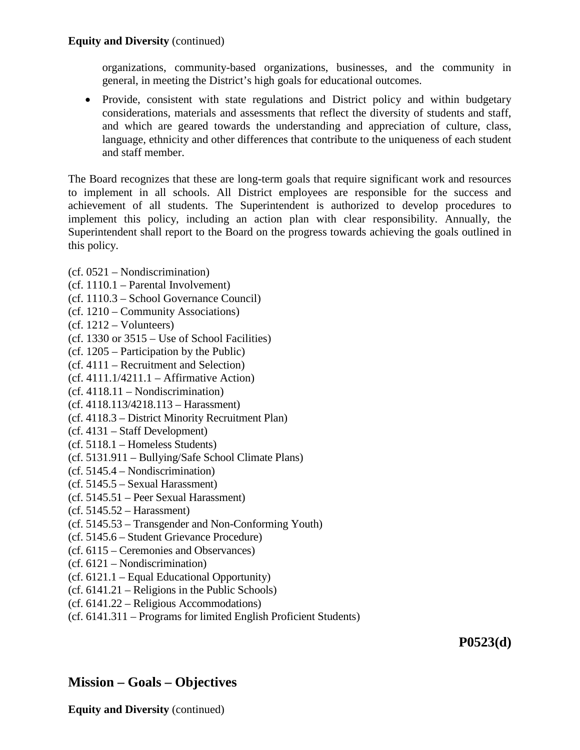#### **Equity and Diversity** (continued)

organizations, community-based organizations, businesses, and the community in general, in meeting the District's high goals for educational outcomes.

• Provide, consistent with state regulations and District policy and within budgetary considerations, materials and assessments that reflect the diversity of students and staff, and which are geared towards the understanding and appreciation of culture, class, language, ethnicity and other differences that contribute to the uniqueness of each student and staff member.

The Board recognizes that these are long-term goals that require significant work and resources to implement in all schools. All District employees are responsible for the success and achievement of all students. The Superintendent is authorized to develop procedures to implement this policy, including an action plan with clear responsibility. Annually, the Superintendent shall report to the Board on the progress towards achieving the goals outlined in this policy.

- (cf. 0521 Nondiscrimination)
- (cf. 1110.1 Parental Involvement)
- (cf. 1110.3 School Governance Council)
- (cf. 1210 Community Associations)
- (cf. 1212 Volunteers)
- (cf. 1330 or 3515 Use of School Facilities)
- (cf. 1205 Participation by the Public)
- (cf. 4111 Recruitment and Selection)
- $(cf. 4111.1/4211.1 Affirmative Action)$
- (cf. 4118.11 Nondiscrimination)
- (cf. 4118.113/4218.113 Harassment)
- (cf. 4118.3 District Minority Recruitment Plan)
- (cf. 4131 Staff Development)
- (cf. 5118.1 Homeless Students)
- (cf. 5131.911 Bullying/Safe School Climate Plans)
- (cf. 5145.4 Nondiscrimination)
- (cf. 5145.5 Sexual Harassment)
- (cf. 5145.51 Peer Sexual Harassment)
- (cf. 5145.52 Harassment)
- (cf. 5145.53 Transgender and Non-Conforming Youth)
- (cf. 5145.6 Student Grievance Procedure)
- (cf. 6115 Ceremonies and Observances)
- (cf. 6121 Nondiscrimination)
- (cf. 6121.1 Equal Educational Opportunity)
- (cf. 6141.21 Religions in the Public Schools)
- (cf. 6141.22 Religious Accommodations)
- (cf. 6141.311 Programs for limited English Proficient Students)

**P0523(d)**

## **Mission – Goals – Objectives**

**Equity and Diversity** (continued)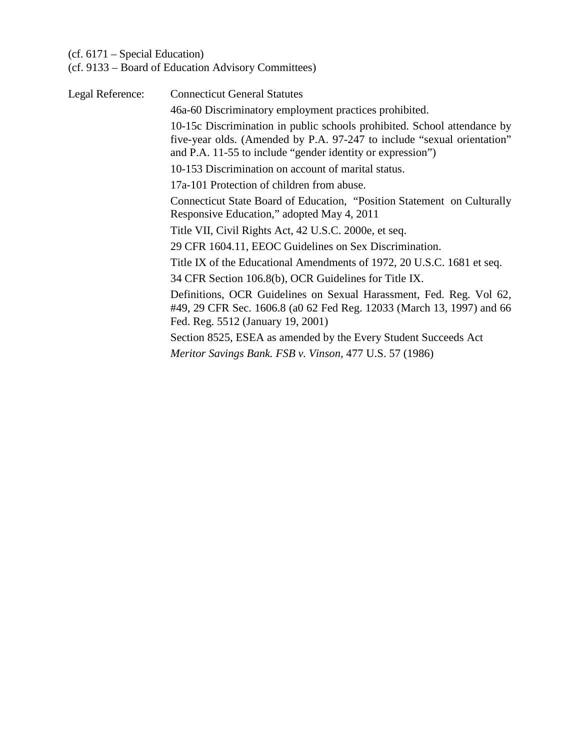### (cf. 6171 – Special Education)

(cf. 9133 – Board of Education Advisory Committees)

| Legal Reference: | <b>Connecticut General Statutes</b>                                                                                                                                                                               |
|------------------|-------------------------------------------------------------------------------------------------------------------------------------------------------------------------------------------------------------------|
|                  | 46a-60 Discriminatory employment practices prohibited.                                                                                                                                                            |
|                  | 10-15c Discrimination in public schools prohibited. School attendance by<br>five-year olds. (Amended by P.A. 97-247 to include "sexual orientation"<br>and P.A. 11-55 to include "gender identity or expression") |
|                  | 10-153 Discrimination on account of marital status.                                                                                                                                                               |
|                  | 17a-101 Protection of children from abuse.                                                                                                                                                                        |
|                  | Connecticut State Board of Education, "Position Statement on Culturally<br>Responsive Education," adopted May 4, 2011                                                                                             |
|                  | Title VII, Civil Rights Act, 42 U.S.C. 2000e, et seq.                                                                                                                                                             |
|                  | 29 CFR 1604.11, EEOC Guidelines on Sex Discrimination.                                                                                                                                                            |
|                  | Title IX of the Educational Amendments of 1972, 20 U.S.C. 1681 et seq.                                                                                                                                            |
|                  | 34 CFR Section 106.8(b), OCR Guidelines for Title IX.                                                                                                                                                             |
|                  | Definitions, OCR Guidelines on Sexual Harassment, Fed. Reg. Vol 62,<br>#49, 29 CFR Sec. 1606.8 (a0 62 Fed Reg. 12033 (March 13, 1997) and 66<br>Fed. Reg. 5512 (January 19, 2001)                                 |
|                  | Section 8525, ESEA as amended by the Every Student Succeeds Act                                                                                                                                                   |
|                  | Meritor Savings Bank. FSB v. Vinson, 477 U.S. 57 (1986)                                                                                                                                                           |